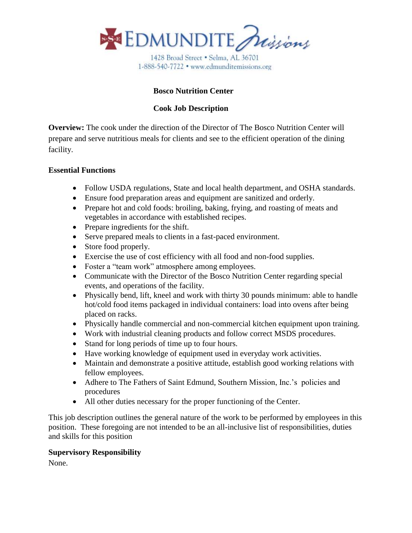

1428 Broad Street . Selma, AL 36701 1-888-540-7722 · www.edmunditemissions.org

# **Bosco Nutrition Center**

## **Cook Job Description**

**Overview:** The cook under the direction of the Director of The Bosco Nutrition Center will prepare and serve nutritious meals for clients and see to the efficient operation of the dining facility.

#### **Essential Functions**

- Follow USDA regulations, State and local health department, and OSHA standards.
- Ensure food preparation areas and equipment are sanitized and orderly.
- Prepare hot and cold foods: broiling, baking, frying, and roasting of meats and vegetables in accordance with established recipes.
- Prepare ingredients for the shift.
- Serve prepared meals to clients in a fast-paced environment.
- Store food properly.
- Exercise the use of cost efficiency with all food and non-food supplies.
- Foster a "team work" atmosphere among employees.
- Communicate with the Director of the Bosco Nutrition Center regarding special events, and operations of the facility.
- Physically bend, lift, kneel and work with thirty 30 pounds minimum: able to handle hot/cold food items packaged in individual containers: load into ovens after being placed on racks.
- Physically handle commercial and non-commercial kitchen equipment upon training.
- Work with industrial cleaning products and follow correct MSDS procedures.
- Stand for long periods of time up to four hours.
- Have working knowledge of equipment used in everyday work activities.
- Maintain and demonstrate a positive attitude, establish good working relations with fellow employees.
- Adhere to The Fathers of Saint Edmund, Southern Mission, Inc.'s policies and procedures
- All other duties necessary for the proper functioning of the Center.

This job description outlines the general nature of the work to be performed by employees in this position. These foregoing are not intended to be an all-inclusive list of responsibilities, duties and skills for this position

### **Supervisory Responsibility**

None.